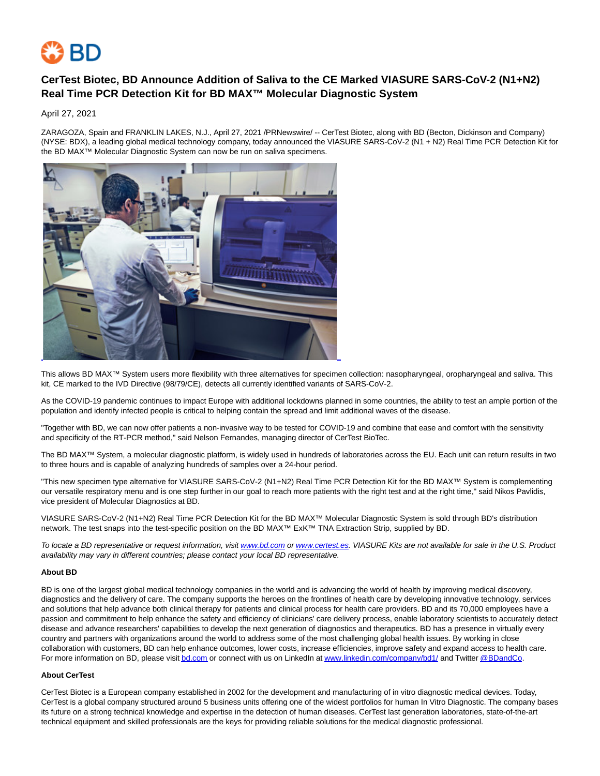

## **CerTest Biotec, BD Announce Addition of Saliva to the CE Marked VIASURE SARS-CoV-2 (N1+N2) Real Time PCR Detection Kit for BD MAX™ Molecular Diagnostic System**

April 27, 2021

ZARAGOZA, Spain and FRANKLIN LAKES, N.J., April 27, 2021 /PRNewswire/ -- CerTest Biotec, along with BD (Becton, Dickinson and Company) (NYSE: BDX), a leading global medical technology company, today announced the VIASURE SARS-CoV-2 (N1 + N2) Real Time PCR Detection Kit for the BD MAX™ Molecular Diagnostic System can now be run on saliva specimens.



This allows BD MAX™ System users more flexibility with three alternatives for specimen collection: nasopharyngeal, oropharyngeal and saliva. This kit, CE marked to the IVD Directive (98/79/CE), detects all currently identified variants of SARS-CoV-2.

As the COVID-19 pandemic continues to impact Europe with additional lockdowns planned in some countries, the ability to test an ample portion of the population and identify infected people is critical to helping contain the spread and limit additional waves of the disease.

"Together with BD, we can now offer patients a non-invasive way to be tested for COVID-19 and combine that ease and comfort with the sensitivity and specificity of the RT-PCR method," said Nelson Fernandes, managing director of CerTest BioTec.

The BD MAX™ System, a molecular diagnostic platform, is widely used in hundreds of laboratories across the EU. Each unit can return results in two to three hours and is capable of analyzing hundreds of samples over a 24-hour period.

"This new specimen type alternative for VIASURE SARS-CoV-2 (N1+N2) Real Time PCR Detection Kit for the BD MAX™ System is complementing our versatile respiratory menu and is one step further in our goal to reach more patients with the right test and at the right time," said Nikos Pavlidis, vice president of Molecular Diagnostics at BD.

VIASURE SARS-CoV-2 (N1+N2) Real Time PCR Detection Kit for the BD MAX™ Molecular Diagnostic System is sold through BD's distribution network. The test snaps into the test-specific position on the BD MAX™ ExK™ TNA Extraction Strip, supplied by BD.

To locate a BD representative or request information, visit [www.bd.com o](http://www.bd.com/)[r www.certest.es.](http://www.certest.es/) VIASURE Kits are not available for sale in the U.S. Product availability may vary in different countries; please contact your local BD representative.

## **About BD**

BD is one of the largest global medical technology companies in the world and is advancing the world of health by improving medical discovery, diagnostics and the delivery of care. The company supports the heroes on the frontlines of health care by developing innovative technology, services and solutions that help advance both clinical therapy for patients and clinical process for health care providers. BD and its 70,000 employees have a passion and commitment to help enhance the safety and efficiency of clinicians' care delivery process, enable laboratory scientists to accurately detect disease and advance researchers' capabilities to develop the next generation of diagnostics and therapeutics. BD has a presence in virtually every country and partners with organizations around the world to address some of the most challenging global health issues. By working in close collaboration with customers, BD can help enhance outcomes, lower costs, increase efficiencies, improve safety and expand access to health care. For more information on BD, please visi[t bd.com o](https://c212.net/c/link/?t=0&l=en&o=3142739-1&h=1890068189&u=http%3A%2F%2Fwww.bd.com%2F&a=bd.com)r connect with us on LinkedIn a[t www.linkedin.com/company/bd1/ a](https://c212.net/c/link/?t=0&l=en&o=3142739-1&h=303822449&u=http%3A%2F%2Fwww.linkedin.com%2Fcompany%2Fbd1%2F&a=www.linkedin.com%2Fcompany%2Fbd1%2F)nd Twitte[r @BDandCo.](https://c212.net/c/link/?t=0&l=en&o=3142739-1&h=2660745707&u=https%3A%2F%2Ftwitter.com%2Fbdandco&a=%40BDandCo)

## **About CerTest**

CerTest Biotec is a European company established in 2002 for the development and manufacturing of in vitro diagnostic medical devices. Today, CerTest is a global company structured around 5 business units offering one of the widest portfolios for human In Vitro Diagnostic. The company bases its future on a strong technical knowledge and expertise in the detection of human diseases. CerTest last generation laboratories, state-of-the-art technical equipment and skilled professionals are the keys for providing reliable solutions for the medical diagnostic professional.